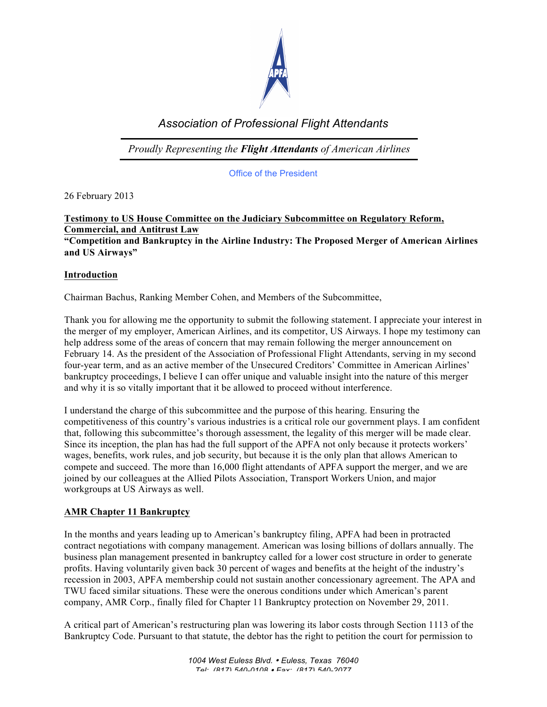

# *Association of Professional Flight Attendants*

*Proudly Representing the Flight Attendants of American Airlines*

Office of the President

26 February 2013

## **Testimony to US House Committee on the Judiciary Subcommittee on Regulatory Reform, Commercial, and Antitrust Law**

**"Competition and Bankruptcy in the Airline Industry: The Proposed Merger of American Airlines and US Airways"**

#### **Introduction**

Chairman Bachus, Ranking Member Cohen, and Members of the Subcommittee,

Thank you for allowing me the opportunity to submit the following statement. I appreciate your interest in the merger of my employer, American Airlines, and its competitor, US Airways. I hope my testimony can help address some of the areas of concern that may remain following the merger announcement on February 14. As the president of the Association of Professional Flight Attendants, serving in my second four-year term, and as an active member of the Unsecured Creditors' Committee in American Airlines' bankruptcy proceedings, I believe I can offer unique and valuable insight into the nature of this merger and why it is so vitally important that it be allowed to proceed without interference.

I understand the charge of this subcommittee and the purpose of this hearing. Ensuring the competitiveness of this country's various industries is a critical role our government plays. I am confident that, following this subcommittee's thorough assessment, the legality of this merger will be made clear. Since its inception, the plan has had the full support of the APFA not only because it protects workers' wages, benefits, work rules, and job security, but because it is the only plan that allows American to compete and succeed. The more than 16,000 flight attendants of APFA support the merger, and we are joined by our colleagues at the Allied Pilots Association, Transport Workers Union, and major workgroups at US Airways as well.

#### **AMR Chapter 11 Bankruptcy**

In the months and years leading up to American's bankruptcy filing, APFA had been in protracted contract negotiations with company management. American was losing billions of dollars annually. The business plan management presented in bankruptcy called for a lower cost structure in order to generate profits. Having voluntarily given back 30 percent of wages and benefits at the height of the industry's recession in 2003, APFA membership could not sustain another concessionary agreement. The APA and TWU faced similar situations. These were the onerous conditions under which American's parent company, AMR Corp., finally filed for Chapter 11 Bankruptcy protection on November 29, 2011.

A critical part of American's restructuring plan was lowering its labor costs through Section 1113 of the Bankruptcy Code. Pursuant to that statute, the debtor has the right to petition the court for permission to